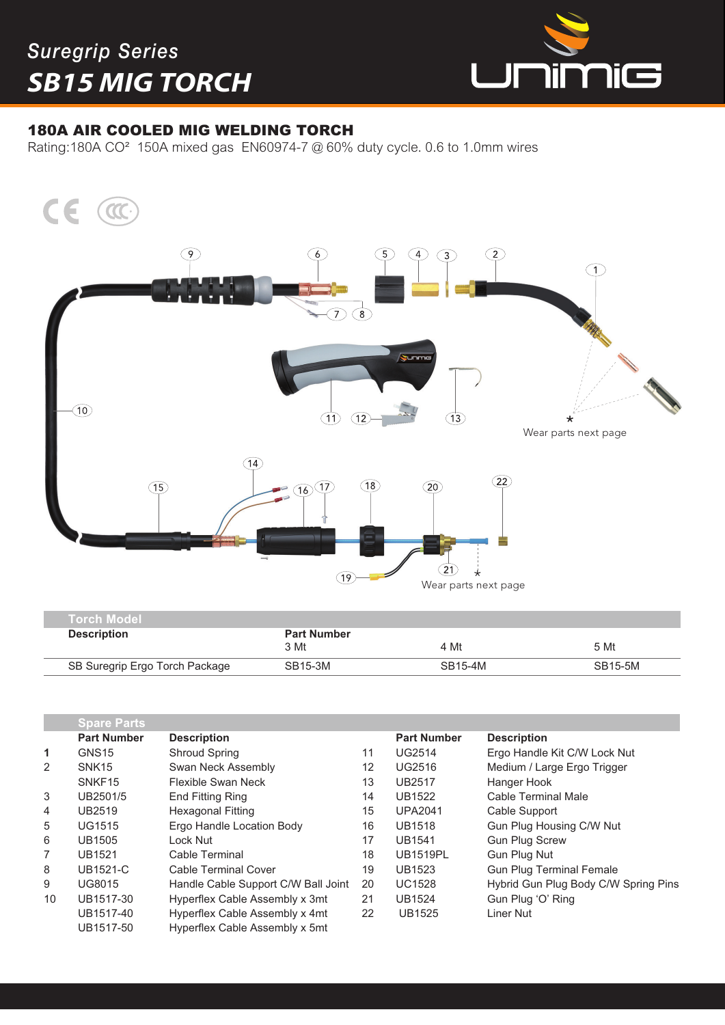## *Suregrip Series SB15 MIG TORCH*

I



## 180A AIR COOLED MIG WELDING TORCH

Rating:180A CO² 150A mixed gas EN60974-7 @ 60% duty cycle. 0.6 to 1.0mm wires



| <b>Torch Model</b>             |                            |         |         |
|--------------------------------|----------------------------|---------|---------|
| <b>Description</b>             | <b>Part Number</b><br>3 Mt | 4 Mt    | 5 Mt    |
| SB Suregrip Ergo Torch Package | SB15-3M                    | SB15-4M | SB15-5M |
|                                |                            |         |         |

|    | <b>Spare Parts</b> |                                     |    |                    |                                      |
|----|--------------------|-------------------------------------|----|--------------------|--------------------------------------|
|    | <b>Part Number</b> | <b>Description</b>                  |    | <b>Part Number</b> | <b>Description</b>                   |
| 1  | GNS <sub>15</sub>  | <b>Shroud Spring</b>                | 11 | <b>UG2514</b>      | Ergo Handle Kit C/W Lock Nut         |
| 2  | SNK <sub>15</sub>  | Swan Neck Assembly                  | 12 | <b>UG2516</b>      | Medium / Large Ergo Trigger          |
|    | SNKF <sub>15</sub> | Flexible Swan Neck                  | 13 | <b>UB2517</b>      | Hanger Hook                          |
| 3  | UB2501/5           | <b>End Fitting Ring</b>             | 14 | <b>UB1522</b>      | Cable Terminal Male                  |
| 4  | UB2519             | <b>Hexagonal Fitting</b>            | 15 | <b>UPA2041</b>     | Cable Support                        |
| 5  | <b>UG1515</b>      | Ergo Handle Location Body           | 16 | <b>UB1518</b>      | Gun Plug Housing C/W Nut             |
| 6  | <b>UB1505</b>      | Lock Nut                            | 17 | <b>UB1541</b>      | <b>Gun Plug Screw</b>                |
| 7  | <b>UB1521</b>      | Cable Terminal                      | 18 | <b>UB1519PL</b>    | <b>Gun Plug Nut</b>                  |
| 8  | <b>UB1521-C</b>    | Cable Terminal Cover                | 19 | <b>UB1523</b>      | <b>Gun Plug Terminal Female</b>      |
| 9  | UG8015             | Handle Cable Support C/W Ball Joint | 20 | <b>UC1528</b>      | Hybrid Gun Plug Body C/W Spring Pins |
| 10 | UB1517-30          | Hyperflex Cable Assembly x 3mt      | 21 | <b>UB1524</b>      | Gun Plug 'O' Ring                    |
|    | UB1517-40          | Hyperflex Cable Assembly x 4mt      | 22 | <b>UB1525</b>      | Liner Nut                            |
|    | UB1517-50          | Hyperflex Cable Assembly x 5mt      |    |                    |                                      |